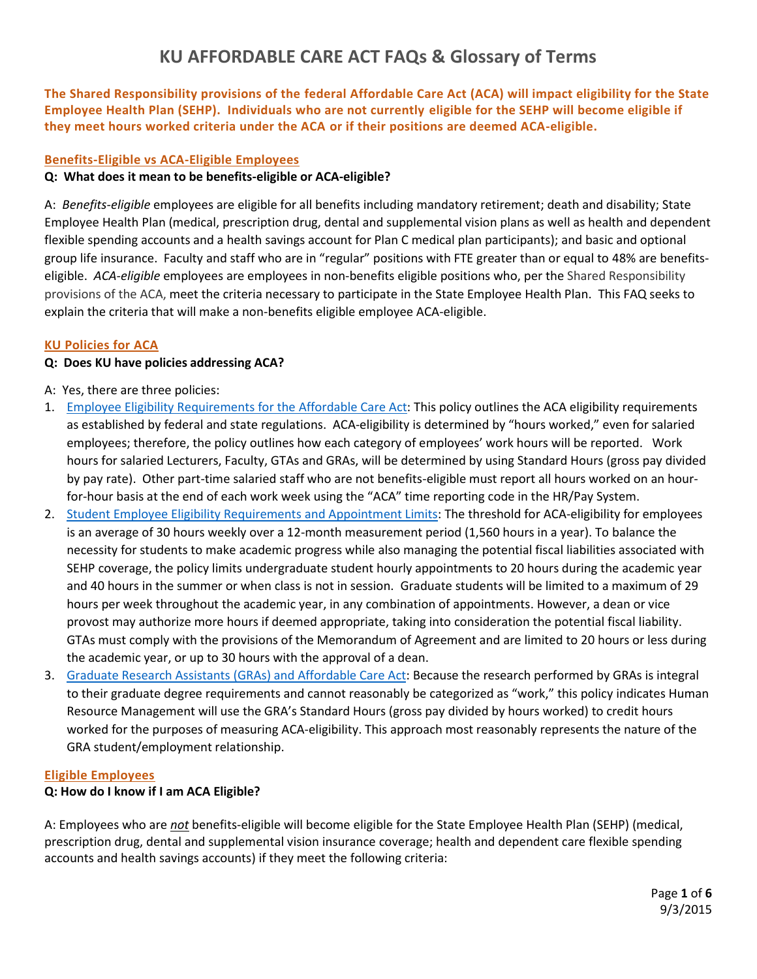**The Shared Responsibility provisions of the federal Affordable Care Act (ACA) will impact eligibility for the State Employee Health Plan (SEHP). Individuals who are not currently eligible for the SEHP will become eligible if they meet hours worked criteria under the ACA or if their positions are deemed ACA-eligible.**

#### **Benefits-Eligible vs ACA-Eligible Employees**

#### **Q: What does it mean to be benefits-eligible or ACA-eligible?**

A: *Benefits-eligible* employees are eligible for all benefits including mandatory retirement; death and disability; State Employee Health Plan (medical, prescription drug, dental and supplemental vision plans as well as health and dependent flexible spending accounts and a health savings account for Plan C medical plan participants); and basic and optional group life insurance. Faculty and staff who are in "regular" positions with FTE greater than or equal to 48% are benefitseligible. *ACA-eligible* employees are employees in non-benefits eligible positions who, per the Shared Responsibility provisions of the ACA, meet the criteria necessary to participate in the State Employee Health Plan. This FAQ seeks to explain the criteria that will make a non-benefits eligible employee ACA-eligible.

#### **KU Policies for ACA**

#### **Q: Does KU have policies addressing ACA?**

- A: Yes, there are three policies:
- 1. [Employee Eligibility Requirements for the Affordable Care Act:](http://www.policy.ku.edu/human-resources/employee-eligibility-aca) This policy outlines the ACA eligibility requirements as established by federal and state regulations. ACA-eligibility is determined by "hours worked," even for salaried employees; therefore, the policy outlines how each category of employees' work hours will be reported. Work hours for salaried Lecturers, Faculty, GTAs and GRAs, will be determined by using Standard Hours (gross pay divided by pay rate). Other part-time salaried staff who are not benefits-eligible must report all hours worked on an hourfor-hour basis at the end of each work week using the "ACA" time reporting code in the HR/Pay System.
- 2. [Student Employee Eligibility Requirements and Appointment Limits:](http://www.policy.ku.edu/human-resources/student-employee-eligibility-aca) The threshold for ACA-eligibility for employees is an average of 30 hours weekly over a 12-month measurement period (1,560 hours in a year). To balance the necessity for students to make academic progress while also managing the potential fiscal liabilities associated with SEHP coverage, the policy limits undergraduate student hourly appointments to 20 hours during the academic year and 40 hours in the summer or when class is not in session. Graduate students will be limited to a maximum of 29 hours per week throughout the academic year, in any combination of appointments. However, a dean or vice provost may authorize more hours if deemed appropriate, taking into consideration the potential fiscal liability. GTAs must comply with the provisions of the Memorandum of Agreement and are limited to 20 hours or less during the academic year, or up to 30 hours with the approval of a dean.
- 3. [Graduate Research Assistants \(GRAs\) and Affordable Care Act:](http://www.policy.ku.edu/human-resources/graduate-research-assistants-aca-compliance) Because the research performed by GRAs is integral to their graduate degree requirements and cannot reasonably be categorized as "work," this policy indicates Human Resource Management will use the GRA's Standard Hours (gross pay divided by hours worked) to credit hours worked for the purposes of measuring ACA-eligibility. This approach most reasonably represents the nature of the GRA student/employment relationship.

#### **Eligible Employees**

#### **Q: How do I know if I am ACA Eligible?**

A: Employees who are *not* benefits-eligible will become eligible for the State Employee Health Plan (SEHP) (medical, prescription drug, dental and supplemental vision insurance coverage; health and dependent care flexible spending accounts and health savings accounts) if they meet the following criteria: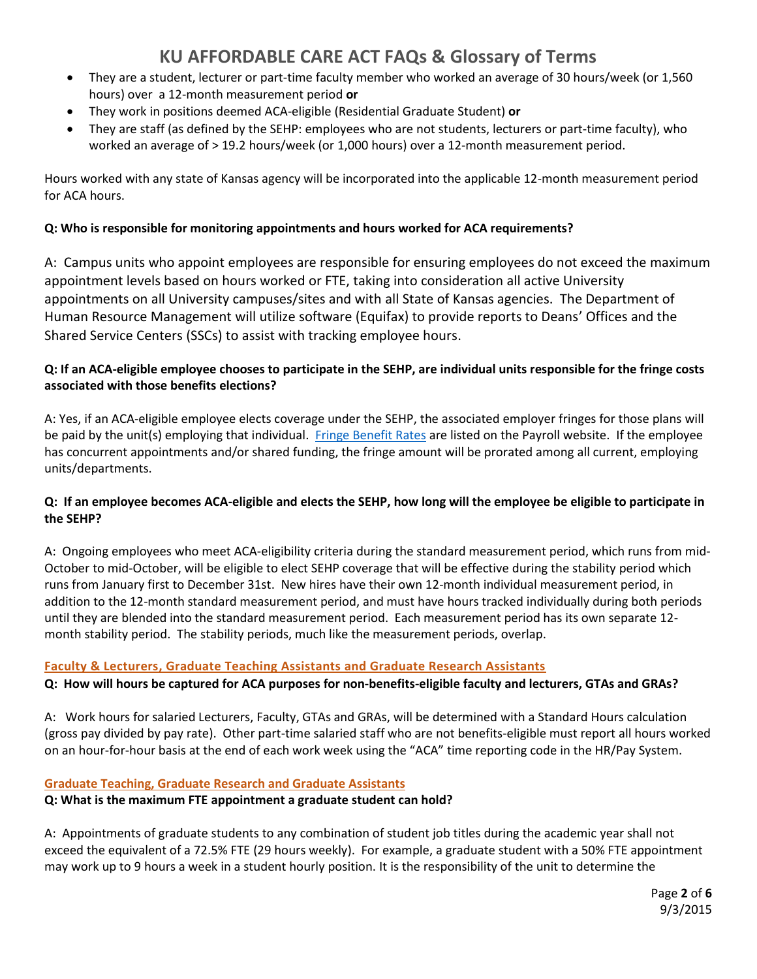- They are a student, lecturer or part-time faculty member who worked an average of 30 hours/week (or 1,560 hours) over a 12-month measurement period **or**
- They work in positions deemed ACA-eligible (Residential Graduate Student) **or**
- They are staff (as defined by the SEHP: employees who are not students, lecturers or part-time faculty), who worked an average of > 19.2 hours/week (or 1,000 hours) over a 12-month measurement period.

Hours worked with any state of Kansas agency will be incorporated into the applicable 12-month measurement period for ACA hours.

## **Q: Who is responsible for monitoring appointments and hours worked for ACA requirements?**

A: Campus units who appoint employees are responsible for ensuring employees do not exceed the maximum appointment levels based on hours worked or FTE, taking into consideration all active University appointments on all University campuses/sites and with all State of Kansas agencies. The Department of Human Resource Management will utilize software (Equifax) to provide reports to Deans' Offices and the Shared Service Centers (SSCs) to assist with tracking employee hours.

## **Q: If an ACA-eligible employee chooses to participate in the SEHP, are individual units responsible for the fringe costs associated with those benefits elections?**

A: Yes, if an ACA-eligible employee elects coverage under the SEHP, the associated employer fringes for those plans will be paid by the unit(s) employing that individual. [Fringe Benefit Rates](http://www.payroll.ku.edu/fringe-benefit-rates) are listed on the Payroll website. If the employee has concurrent appointments and/or shared funding, the fringe amount will be prorated among all current, employing units/departments.

### **Q: If an employee becomes ACA-eligible and elects the SEHP, how long will the employee be eligible to participate in the SEHP?**

A: Ongoing employees who meet ACA-eligibility criteria during the standard measurement period, which runs from mid-October to mid-October, will be eligible to elect SEHP coverage that will be effective during the stability period which runs from January first to December 31st. New hires have their own 12-month individual measurement period, in addition to the 12-month standard measurement period, and must have hours tracked individually during both periods until they are blended into the standard measurement period. Each measurement period has its own separate 12 month stability period. The stability periods, much like the measurement periods, overlap.

## **Faculty & Lecturers, Graduate Teaching Assistants and Graduate Research Assistants**

## **Q: How will hours be captured for ACA purposes for non-benefits-eligible faculty and lecturers, GTAs and GRAs?**

A: Work hours for salaried Lecturers, Faculty, GTAs and GRAs, will be determined with a Standard Hours calculation (gross pay divided by pay rate). Other part-time salaried staff who are not benefits-eligible must report all hours worked on an hour-for-hour basis at the end of each work week using the "ACA" time reporting code in the HR/Pay System.

## **Graduate Teaching, Graduate Research and Graduate Assistants**

## **Q: What is the maximum FTE appointment a graduate student can hold?**

A: Appointments of graduate students to any combination of student job titles during the academic year shall not exceed the equivalent of a 72.5% FTE (29 hours weekly). For example, a graduate student with a 50% FTE appointment may work up to 9 hours a week in a student hourly position. It is the responsibility of the unit to determine the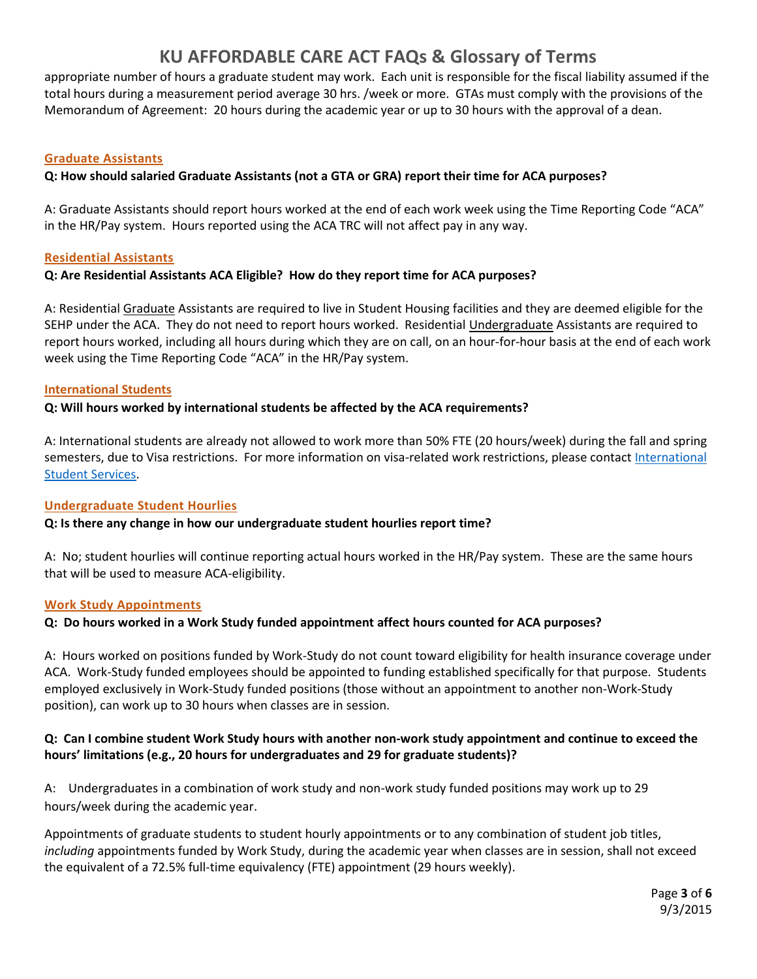appropriate number of hours a graduate student may work. Each unit is responsible for the fiscal liability assumed if the total hours during a measurement period average 30 hrs. /week or more. GTAs must comply with the provisions of the Memorandum of Agreement: 20 hours during the academic year or up to 30 hours with the approval of a dean.

#### **Graduate Assistants**

#### **Q: How should salaried Graduate Assistants (not a GTA or GRA) report their time for ACA purposes?**

A: Graduate Assistants should report hours worked at the end of each work week using the Time Reporting Code "ACA" in the HR/Pay system. Hours reported using the ACA TRC will not affect pay in any way.

#### **Residential Assistants**

#### **Q: Are Residential Assistants ACA Eligible? How do they report time for ACA purposes?**

A: Residential Graduate Assistants are required to live in Student Housing facilities and they are deemed eligible for the SEHP under the ACA. They do not need to report hours worked. Residential Undergraduate Assistants are required to report hours worked, including all hours during which they are on call, on an hour-for-hour basis at the end of each work week using the Time Reporting Code "ACA" in the HR/Pay system.

#### **International Students**

#### **Q: Will hours worked by international students be affected by the ACA requirements?**

A: International students are already not allowed to work more than 50% FTE (20 hours/week) during the fall and spring semesters, due to Visa restrictions. For more information on visa-related work restrictions, please contac[t International](http://iss.ku.edu/)  [Student Services.](http://iss.ku.edu/)

#### **Undergraduate Student Hourlies**

#### **Q: Is there any change in how our undergraduate student hourlies report time?**

A: No; student hourlies will continue reporting actual hours worked in the HR/Pay system. These are the same hours that will be used to measure ACA-eligibility.

#### **Work Study Appointments**

#### **Q: Do hours worked in a Work Study funded appointment affect hours counted for ACA purposes?**

A: Hours worked on positions funded by Work-Study do not count toward eligibility for health insurance coverage under ACA. Work-Study funded employees should be appointed to funding established specifically for that purpose. Students employed exclusively in Work-Study funded positions (those without an appointment to another non-Work-Study position), can work up to 30 hours when classes are in session.

#### **Q: Can I combine student Work Study hours with another non-work study appointment and continue to exceed the hours' limitations (e.g., 20 hours for undergraduates and 29 for graduate students)?**

A: Undergraduates in a combination of work study and non-work study funded positions may work up to 29 hours/week during the academic year.

Appointments of graduate students to student hourly appointments or to any combination of student job titles, *including* appointments funded by Work Study, during the academic year when classes are in session, shall not exceed the equivalent of a 72.5% full-time equivalency (FTE) appointment (29 hours weekly).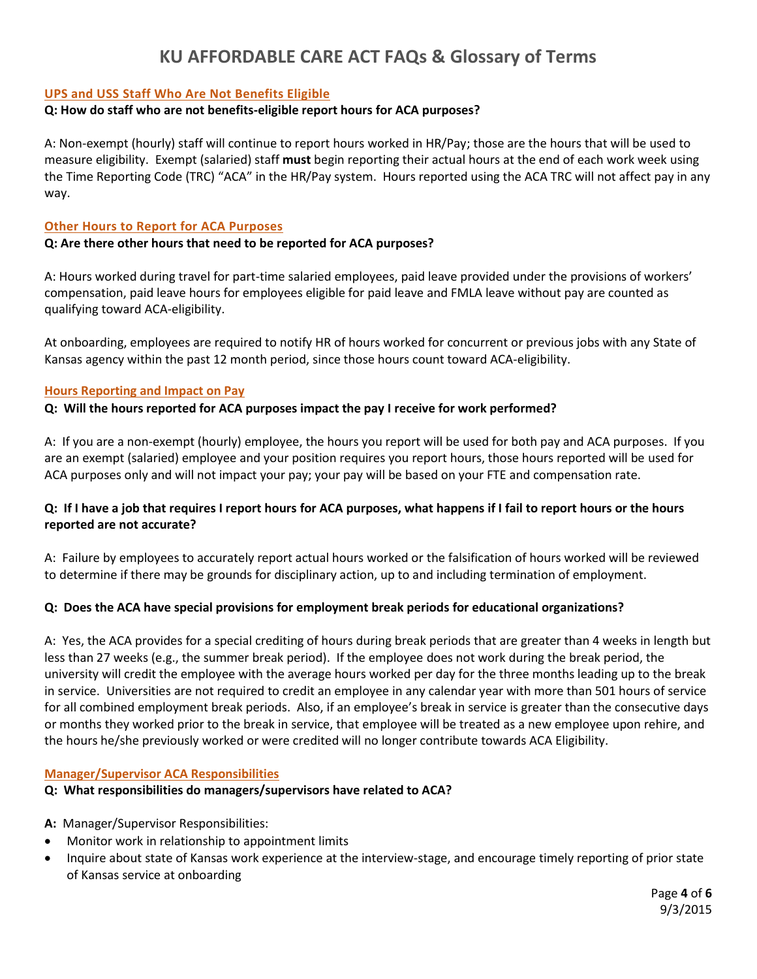#### **UPS and USS Staff Who Are Not Benefits Eligible**

#### **Q: How do staff who are not benefits-eligible report hours for ACA purposes?**

A: Non-exempt (hourly) staff will continue to report hours worked in HR/Pay; those are the hours that will be used to measure eligibility. Exempt (salaried) staff **must** begin reporting their actual hours at the end of each work week using the Time Reporting Code (TRC) "ACA" in the HR/Pay system. Hours reported using the ACA TRC will not affect pay in any way.

#### **Other Hours to Report for ACA Purposes**

#### **Q: Are there other hours that need to be reported for ACA purposes?**

A: Hours worked during travel for part-time salaried employees, paid leave provided under the provisions of workers' compensation, paid leave hours for employees eligible for paid leave and FMLA leave without pay are counted as qualifying toward ACA-eligibility.

At onboarding, employees are required to notify HR of hours worked for concurrent or previous jobs with any State of Kansas agency within the past 12 month period, since those hours count toward ACA-eligibility.

#### **Hours Reporting and Impact on Pay**

#### **Q: Will the hours reported for ACA purposes impact the pay I receive for work performed?**

A: If you are a non-exempt (hourly) employee, the hours you report will be used for both pay and ACA purposes. If you are an exempt (salaried) employee and your position requires you report hours, those hours reported will be used for ACA purposes only and will not impact your pay; your pay will be based on your FTE and compensation rate.

#### **Q: If I have a job that requires I report hours for ACA purposes, what happens if I fail to report hours or the hours reported are not accurate?**

A: Failure by employees to accurately report actual hours worked or the falsification of hours worked will be reviewed to determine if there may be grounds for disciplinary action, up to and including termination of employment.

#### **Q: Does the ACA have special provisions for employment break periods for educational organizations?**

A: Yes, the ACA provides for a special crediting of hours during break periods that are greater than 4 weeks in length but less than 27 weeks (e.g., the summer break period). If the employee does not work during the break period, the university will credit the employee with the average hours worked per day for the three months leading up to the break in service.Universities are not required to credit an employee in any calendar year with more than 501 hours of service for all combined employment break periods. Also, if an employee's break in service is greater than the consecutive days or months they worked prior to the break in service, that employee will be treated as a new employee upon rehire, and the hours he/she previously worked or were credited will no longer contribute towards ACA Eligibility.

#### **Manager/Supervisor ACA Responsibilities**

#### **Q: What responsibilities do managers/supervisors have related to ACA?**

- **A:** Manager/Supervisor Responsibilities:
- Monitor work in relationship to appointment limits
- Inquire about state of Kansas work experience at the interview-stage, and encourage timely reporting of prior state of Kansas service at onboarding

Page **4** of **6** 9/3/2015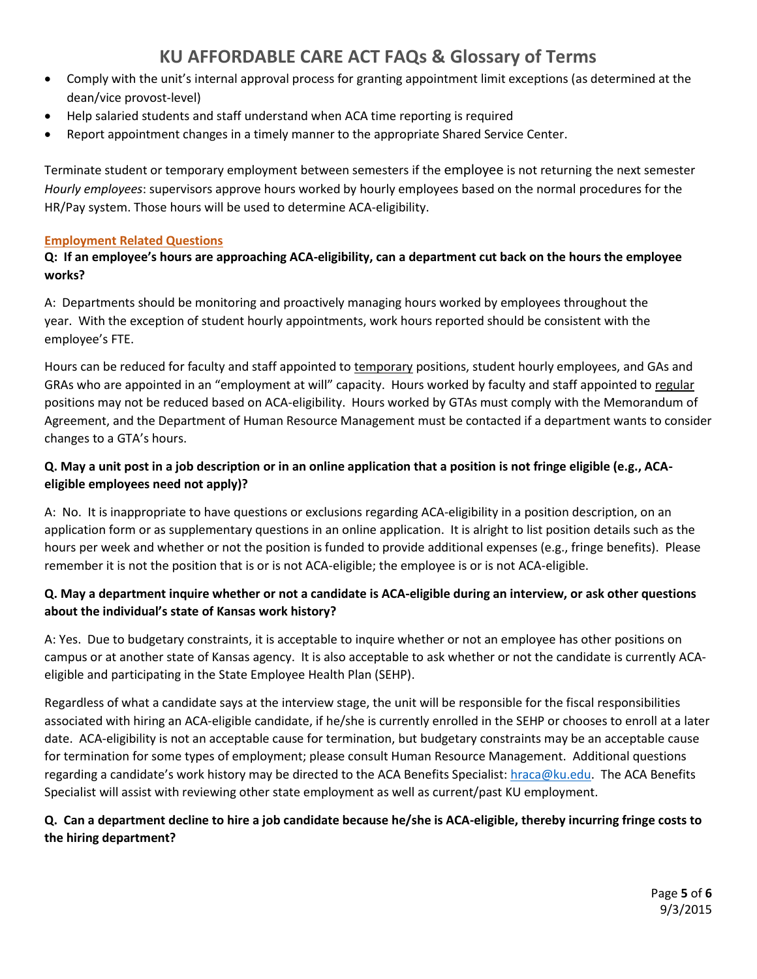- Comply with the unit's internal approval process for granting appointment limit exceptions (as determined at the dean/vice provost-level)
- Help salaried students and staff understand when ACA time reporting is required
- Report appointment changes in a timely manner to the appropriate Shared Service Center.

Terminate student or temporary employment between semesters if the employee is not returning the next semester *Hourly employees*: supervisors approve hours worked by hourly employees based on the normal procedures for the HR/Pay system. Those hours will be used to determine ACA-eligibility.

#### **Employment Related Questions**

### **Q: If an employee's hours are approaching ACA-eligibility, can a department cut back on the hours the employee works?**

A: Departments should be monitoring and proactively managing hours worked by employees throughout the year. With the exception of student hourly appointments, work hours reported should be consistent with the employee's FTE.

Hours can be reduced for faculty and staff appointed to temporary positions, student hourly employees, and GAs and GRAs who are appointed in an "employment at will" capacity. Hours worked by faculty and staff appointed to regular positions may not be reduced based on ACA-eligibility. Hours worked by GTAs must comply with the Memorandum of Agreement, and the Department of Human Resource Management must be contacted if a department wants to consider changes to a GTA's hours.

## **Q. May a unit post in a job description or in an online application that a position is not fringe eligible (e.g., ACAeligible employees need not apply)?**

A: No. It is inappropriate to have questions or exclusions regarding ACA-eligibility in a position description, on an application form or as supplementary questions in an online application. It is alright to list position details such as the hours per week and whether or not the position is funded to provide additional expenses (e.g., fringe benefits). Please remember it is not the position that is or is not ACA-eligible; the employee is or is not ACA-eligible.

### **Q. May a department inquire whether or not a candidate is ACA-eligible during an interview, or ask other questions about the individual's state of Kansas work history?**

A: Yes. Due to budgetary constraints, it is acceptable to inquire whether or not an employee has other positions on campus or at another state of Kansas agency. It is also acceptable to ask whether or not the candidate is currently ACAeligible and participating in the State Employee Health Plan (SEHP).

Regardless of what a candidate says at the interview stage, the unit will be responsible for the fiscal responsibilities associated with hiring an ACA-eligible candidate, if he/she is currently enrolled in the SEHP or chooses to enroll at a later date. ACA-eligibility is not an acceptable cause for termination, but budgetary constraints may be an acceptable cause for termination for some types of employment; please consult Human Resource Management. Additional questions regarding a candidate's work history may be directed to the ACA Benefits Specialist: [hraca@ku.edu.](mailto:hraca@ku.edu) The ACA Benefits Specialist will assist with reviewing other state employment as well as current/past KU employment.

## **Q. Can a department decline to hire a job candidate because he/she is ACA-eligible, thereby incurring fringe costs to the hiring department?**